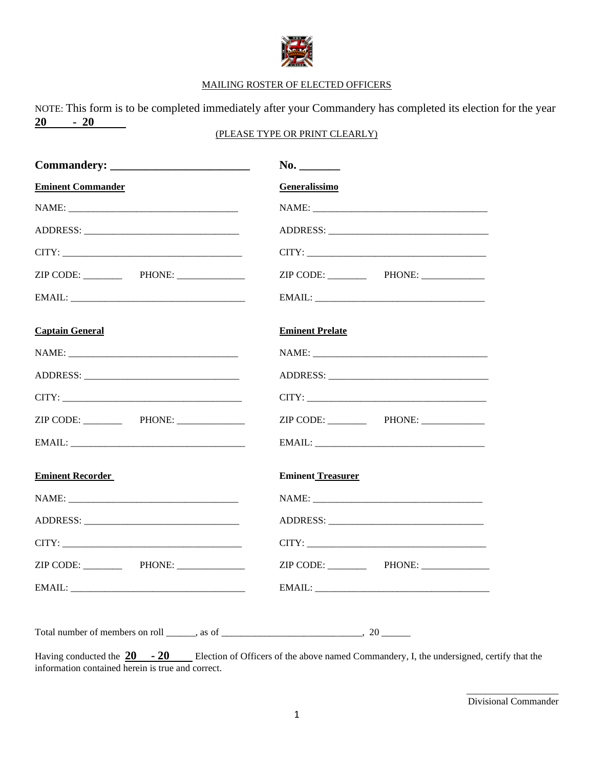

## MAILING ROSTER OF ELECTED OFFICERS

NOTE: This form is to be completed immediately after your Commandery has completed its election for the year **20 - 20** 

## (PLEASE TYPE OR PRINT CLEARLY)

|                                                                                     | No.                      |
|-------------------------------------------------------------------------------------|--------------------------|
| <b>Eminent Commander</b>                                                            | Generalissimo            |
|                                                                                     |                          |
|                                                                                     |                          |
|                                                                                     |                          |
| ZIP CODE: PHONE:                                                                    |                          |
|                                                                                     |                          |
| <b>Captain General</b>                                                              | <b>Eminent Prelate</b>   |
|                                                                                     |                          |
|                                                                                     |                          |
|                                                                                     |                          |
|                                                                                     |                          |
|                                                                                     |                          |
| <b>Eminent Recorder</b>                                                             | <b>Eminent Treasurer</b> |
|                                                                                     |                          |
|                                                                                     |                          |
|                                                                                     |                          |
|                                                                                     |                          |
|                                                                                     |                          |
| Total number of members on roll $\_\_\_\$ , as of $\_\_\_\_\_\_\_\_\_\_\_\_\_$ , 20 |                          |

Having conducted the  $20 - 20$  Election of Officers of the above named Commandery, I, the undersigned, certify that the information contained herein is true and correct.